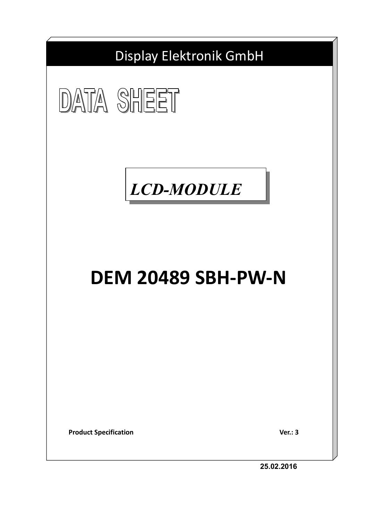





# **DEM 20489 SBH-PW-N**

**Product Specification** Ver.: 3

**25.02.2016**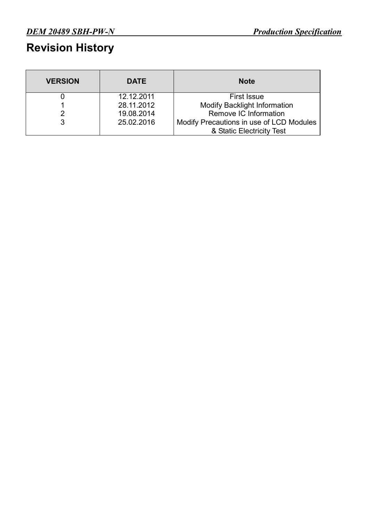### **Revision History**

| <b>VERSION</b> | <b>DATE</b> | <b>Note</b>                              |
|----------------|-------------|------------------------------------------|
|                | 12.12.2011  | <b>First Issue</b>                       |
|                | 28.11.2012  | <b>Modify Backlight Information</b>      |
|                | 19.08.2014  | Remove IC Information                    |
|                | 25.02.2016  | Modify Precautions in use of LCD Modules |
|                |             | & Static Electricity Test                |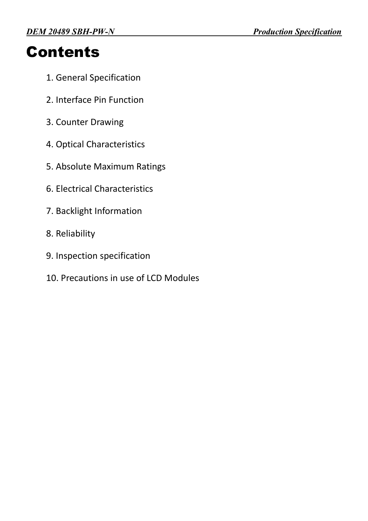# **Contents**

- 1. General Specification
- 2. Interface Pin Function
- 3. Counter Drawing
- 4. Optical Characteristics
- 5. Absolute Maximum Ratings
- 6. Electrical Characteristics
- 7. Backlight Information
- 8. Reliability
- 9. Inspection specification
- 10. Precautions in use of LCD Modules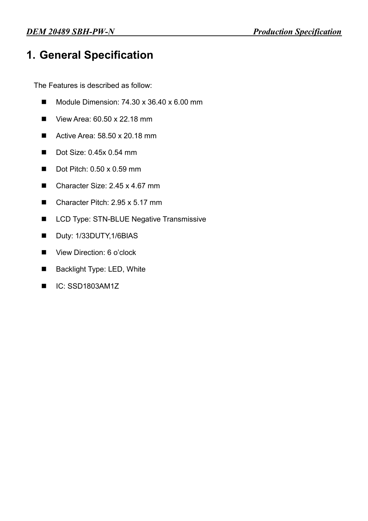### **1. General Specification**

The Features is described as follow:

- $\blacksquare$  Module Dimension: 74.30 x 36.40 x 6.00 mm
- $\blacksquare$  View Area: 60.50 x 22.18 mm
- Active Area:  $58.50 \times 20.18 \text{ mm}$
- $\blacksquare$  Dot Size: 0.45x 0.54 mm
- $\blacksquare$  Dot Pitch: 0.50 x 0.59 mm
- Character Size: 2.45 x 4.67 mm
- $\blacksquare$  Character Pitch: 2.95 x 5.17 mm
- LCD Type: STN-BLUE Negative Transmissive
- Duty: 1/33DUTY, 1/6BIAS
- View Direction: 6 o'clock
- Backlight Type: LED, White
- $IC:$  SSD1803AM1Z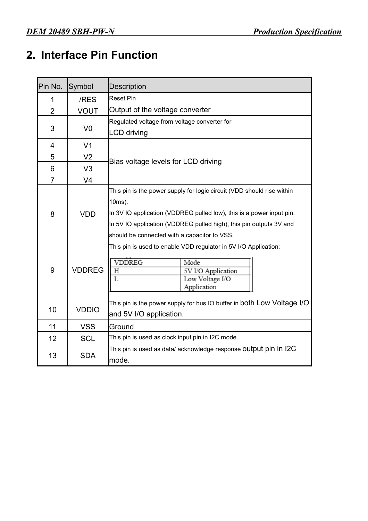### **2. Interface Pin Function**

| Pin No.        | Symbol         | <b>Description</b>                                                                                                                                                                                                                                                             |  |  |  |  |
|----------------|----------------|--------------------------------------------------------------------------------------------------------------------------------------------------------------------------------------------------------------------------------------------------------------------------------|--|--|--|--|
| 1              | /RES           | <b>Reset Pin</b>                                                                                                                                                                                                                                                               |  |  |  |  |
| $\overline{2}$ | <b>VOUT</b>    | Output of the voltage converter                                                                                                                                                                                                                                                |  |  |  |  |
|                |                | Regulated voltage from voltage converter for                                                                                                                                                                                                                                   |  |  |  |  |
| 3              | V <sub>0</sub> | <b>LCD</b> driving                                                                                                                                                                                                                                                             |  |  |  |  |
| 4              | V <sub>1</sub> |                                                                                                                                                                                                                                                                                |  |  |  |  |
| 5              | V <sub>2</sub> | Bias voltage levels for LCD driving                                                                                                                                                                                                                                            |  |  |  |  |
| 6              | V <sub>3</sub> |                                                                                                                                                                                                                                                                                |  |  |  |  |
| $\overline{7}$ | V <sub>4</sub> |                                                                                                                                                                                                                                                                                |  |  |  |  |
| 8              | <b>VDD</b>     | This pin is the power supply for logic circuit (VDD should rise within<br>10ms).<br>In 3V IO application (VDDREG pulled low), this is a power input pin.<br>In 5V IO application (VDDREG pulled high), this pin outputs 3V and<br>should be connected with a capacitor to VSS. |  |  |  |  |
| 9              | <b>VDDREG</b>  | This pin is used to enable VDD regulator in 5V I/O Application:<br><b>VDDREG</b><br>Mode<br>5V I/O Application<br>Η<br>$\overline{L}$<br>Low Voltage I/O<br>Application                                                                                                        |  |  |  |  |
| 10             | <b>VDDIO</b>   | This pin is the power supply for bus IO buffer in both Low Voltage I/O<br>and 5V I/O application.                                                                                                                                                                              |  |  |  |  |
| 11             | <b>VSS</b>     | Ground                                                                                                                                                                                                                                                                         |  |  |  |  |
| 12             | <b>SCL</b>     | This pin is used as clock input pin in I2C mode.                                                                                                                                                                                                                               |  |  |  |  |
| 13             | <b>SDA</b>     | This pin is used as data/ acknowledge response Output pin in I2C<br>mode.                                                                                                                                                                                                      |  |  |  |  |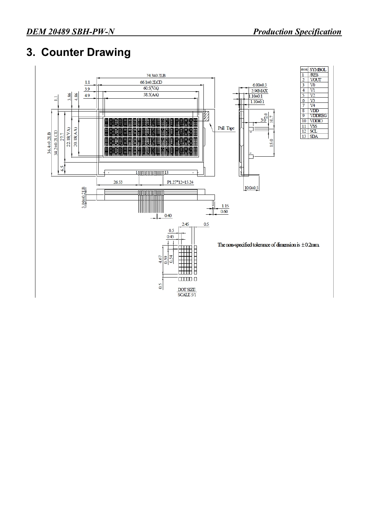### **3. Counter Drawing**

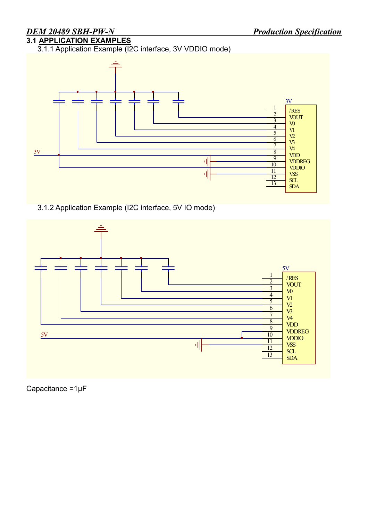### **3.1 APPLICATION EXAMPLES**

3.1.1 Application Example (I2C interface, 3V VDDIO mode)



3.1.2 Application Example (I2C interface, 5V IO mode)



Capacitance =1μF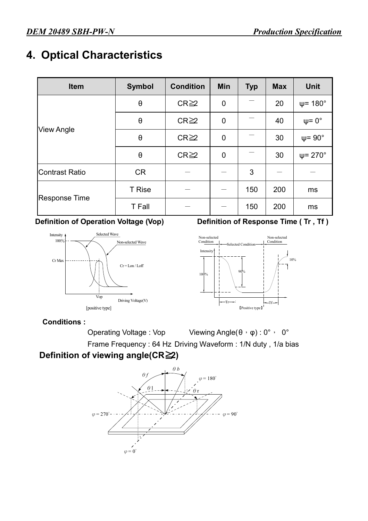### **4. Optical Characteristics**

| Item                  | <b>Symbol</b>         | <b>Condition</b> | Min            | <b>Typ</b> | <b>Max</b> | <b>Unit</b>             |
|-----------------------|-----------------------|------------------|----------------|------------|------------|-------------------------|
|                       | $\boldsymbol{\theta}$ | $CR \geq 2$      | $\mathbf 0$    |            | 20         | $\psi$ = 180 $^{\circ}$ |
|                       | $\theta$              | $CR \geq 2$      | $\overline{0}$ |            | 40         | $\psi = 0^{\circ}$      |
| <b>View Angle</b>     | $\boldsymbol{\theta}$ | $CR \geq 2$      | $\mathbf 0$    |            | 30         | $\psi$ = 90 $^{\circ}$  |
|                       | $\boldsymbol{\theta}$ | $CR \geq 2$      | $\mathbf 0$    |            | 30         | $\Psi$ = 270 $^{\circ}$ |
| <b>Contrast Ratio</b> | <b>CR</b>             |                  |                | 3          |            |                         |
|                       | <b>T</b> Rise         |                  |                | 150        | 200        | ms                      |
| <b>Response Time</b>  | <b>T</b> Fall         |                  |                | 150        | 200        | ms                      |



#### **Definition of Operation Voltage (Vop) Definition of Response Time (Tr, Tf)**



#### **Conditions :**

Operating Voltage : Vop Viewing Angle(θ, φ) : 0°, 0° Frame Frequency : 64 Hz Driving Waveform : 1/N duty , 1/a bias

#### **Definition of viewing angle(CR≧2)**

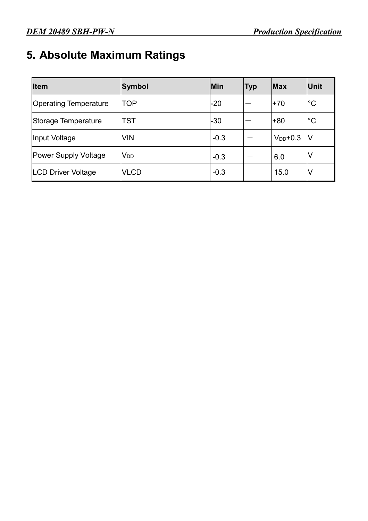### **5. Absolute Maximum Ratings**

| <b>Item</b>                  | Symbol          | Min    | Тур | <b>Max</b>    | Unit          |
|------------------------------|-----------------|--------|-----|---------------|---------------|
| <b>Operating Temperature</b> | TOP             | $-20$  |     | $+70$         | ${}^{\circ}C$ |
| Storage Temperature          | TST             | $-30$  |     | +80           | $^{\circ}C$   |
| Input Voltage                | <b>VIN</b>      | $-0.3$ |     | $V_{DD}$ +0.3 | IV            |
| <b>Power Supply Voltage</b>  | V <sub>DD</sub> | $-0.3$ |     | 6.0           | V             |
| <b>LCD Driver Voltage</b>    | <b>VLCD</b>     | $-0.3$ |     | 15.0          | V             |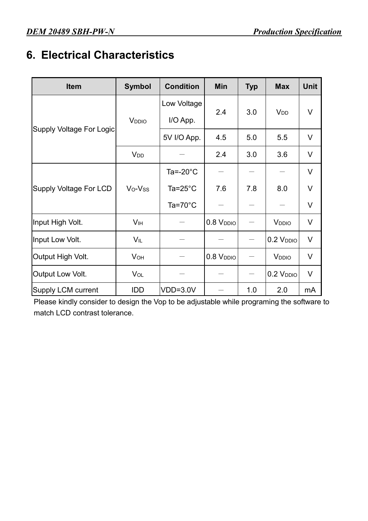### **6. Electrical Characteristics**

| <b>Item</b>                   | <b>Symbol</b>         | <b>Condition</b>    | Min                   | <b>Typ</b>                                      | <b>Max</b>                                                                                                                      | <b>Unit</b> |
|-------------------------------|-----------------------|---------------------|-----------------------|-------------------------------------------------|---------------------------------------------------------------------------------------------------------------------------------|-------------|
|                               |                       | Low Voltage         |                       |                                                 |                                                                                                                                 |             |
|                               | V <sub>DDIO</sub>     | I/O App.            | 2.4                   |                                                 |                                                                                                                                 | V           |
| Supply Voltage For Logic      |                       | 5V I/O App.         | 4.5                   | 5.0                                             | 5.5                                                                                                                             | $\vee$      |
|                               | <b>V<sub>DD</sub></b> |                     | 2.4                   | 3.0                                             | <b>V</b> <sub>DD</sub><br>3.6<br>8.0<br>V <sub>DDIO</sub><br>0.2 V <sub>DDIO</sub><br>V <sub>DDIO</sub><br>$0.2$ $VDDIO$<br>2.0 | $\vee$      |
|                               |                       | Ta=- $20^{\circ}$ C |                       |                                                 |                                                                                                                                 | $\vee$      |
| <b>Supply Voltage For LCD</b> | Vo-Vss                | Ta= $25^{\circ}$ C  | 7.6                   | 7.8                                             |                                                                                                                                 | V           |
|                               |                       | Ta=70 $^{\circ}$ C  |                       | 3.0<br>$\overbrace{\phantom{123221111}}$<br>1.0 | V                                                                                                                               |             |
| Input High Volt.              | <b>V<sub>IH</sub></b> |                     | 0.8 V <sub>DDIO</sub> |                                                 |                                                                                                                                 | V           |
| Input Low Volt.               | $V_{IL}$              |                     |                       |                                                 |                                                                                                                                 | $\vee$      |
| Output High Volt.             | <b>V<sub>OH</sub></b> |                     | $0.8$ $VDDIO$         |                                                 |                                                                                                                                 | V           |
| Output Low Volt.              | VOL                   |                     |                       |                                                 |                                                                                                                                 | V           |
| Supply LCM current            | IDD                   | VDD=3.0V            |                       |                                                 |                                                                                                                                 | mA          |

Please kindly consider to design the Vop to be adjustable while programing the software to match LCD contrast tolerance.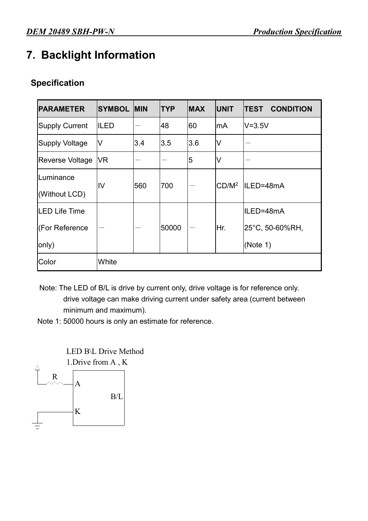### **7. Backlight Information**

#### **Specification**

| <b>PARAMETER</b>       | <b>SYMBOL</b> | <b>MIN</b> | <b>TYP</b> | <b>MAX</b> | <b>UNIT</b>       | <b>CONDITION</b><br><b>TEST</b> |
|------------------------|---------------|------------|------------|------------|-------------------|---------------------------------|
| <b>Supply Current</b>  | <b>ILED</b>   |            | 48         | 60         | mA                | $V = 3.5V$                      |
| Supply Voltage         | V             | 3.4        | 3.5        | 3.6        | V                 |                                 |
| <b>Reverse Voltage</b> | VR            |            |            | 5          | V                 |                                 |
| Luminance              | IV            | 560        | 700        |            | CD/M <sup>2</sup> | ILED=48mA                       |
| (Without LCD)          |               |            |            |            |                   |                                 |
| <b>LED Life Time</b>   |               |            |            |            |                   | ILED=48mA                       |
| (For Reference         |               |            | 50000      |            | Hr.               | 25°C, 50-60%RH,                 |
| only)                  |               |            |            |            |                   | (Note $1$ )                     |
| Color                  | White         |            |            |            |                   |                                 |

Note: The LED of B/L is drive by current only, drive voltage is for reference only. drive voltage can make driving current under safety area (current between minimum and maximum).

Note 1: 50000 hours is only an estimate for reference.

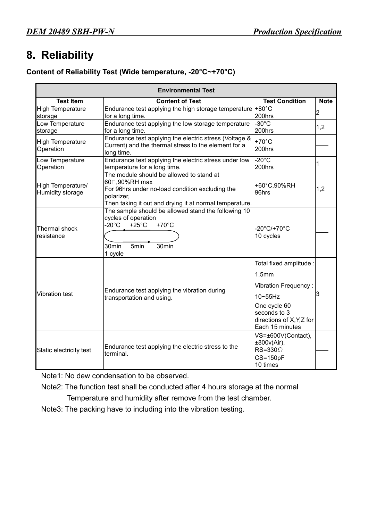### **8. Reliability**

#### **Content of Reliability Test (Wide temperature, -20°C~+70°C)**

|                                       | <b>Environmental Test</b>                                                                                                                                                                                    |                                                                                                                                                                                |                |
|---------------------------------------|--------------------------------------------------------------------------------------------------------------------------------------------------------------------------------------------------------------|--------------------------------------------------------------------------------------------------------------------------------------------------------------------------------|----------------|
| <b>Test Item</b>                      | <b>Content of Test</b>                                                                                                                                                                                       | <b>Test Condition</b>                                                                                                                                                          | <b>Note</b>    |
| <b>High Temperature</b><br>storage    | Endurance test applying the high storage temperature +80 $^{\circ}$ C<br>for a long time.                                                                                                                    | 200hrs                                                                                                                                                                         | $\overline{2}$ |
| Low Temperature<br>storage            | Endurance test applying the low storage temperature<br>for a long time.                                                                                                                                      | $-30^{\circ}$ C<br>200hrs                                                                                                                                                      | 1,2            |
| <b>High Temperature</b><br>Operation  | Endurance test applying the electric stress (Voltage &<br>Current) and the thermal stress to the element for a<br>long time.                                                                                 | $+70^{\circ}$ C<br>200hrs                                                                                                                                                      |                |
| Low Temperature<br>Operation          | Endurance test applying the electric stress under low<br>temperature for a long time.                                                                                                                        | $-20^{\circ}$ C<br>200hrs                                                                                                                                                      | 1              |
| High Temperature/<br>Humidity storage | The module should be allowed to stand at<br>60□,90%RH max<br>For 96hrs under no-load condition excluding the<br>polarizer,<br>Then taking it out and drying it at normal temperature.                        | +60°C,90%RH<br>96hrs                                                                                                                                                           | 1,2            |
| Thermal shock<br>resistance           | The sample should be allowed stand the following 10<br>cycles of operation<br>$-20^{\circ}$ C<br>$+25^{\circ}$ C<br>$+70^{\circ}$ C<br>30 <sub>min</sub><br>5 <sub>min</sub><br>30 <sub>min</sub><br>1 cycle | -20°C/+70°C<br>10 cycles                                                                                                                                                       |                |
| <b>Vibration test</b>                 | Endurance test applying the vibration during<br>transportation and using.                                                                                                                                    | Total fixed amplitude :<br>1.5 <sub>mm</sub><br><b>Vibration Frequency:</b><br>$10 \sim 55$ Hz<br>One cycle 60<br>seconds to 3<br>directions of X, Y, Z for<br>Each 15 minutes | 3              |
| Static electricity test               | Endurance test applying the electric stress to the<br>terminal.                                                                                                                                              | VS=±600V(Contact),<br>±800v(Air),<br>$RS = 330 \Omega$<br>$CS = 150pF$<br>10 times                                                                                             |                |

Note1: No dew condensation to be observed.

Note2: The function test shall be conducted after 4 hours storage at the normal Temperature and humidity after remove from the test chamber.

Note3: The packing have to including into the vibration testing.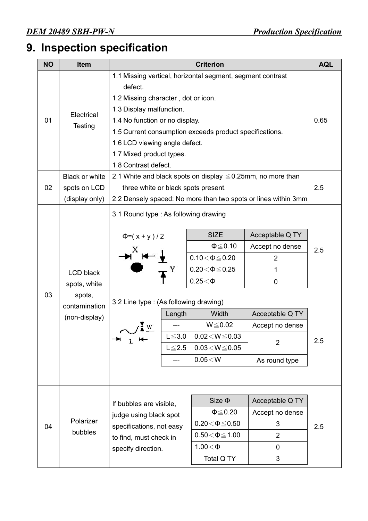## **9. Inspection specification**

| <b>NO</b> | <b>Item</b>                                                                  | <b>Criterion</b>                                                                                                                                                                                                                                                                                                                                                                                |                                        |                                                                                                                                                                                                   |                                                                                                                                                   |            |
|-----------|------------------------------------------------------------------------------|-------------------------------------------------------------------------------------------------------------------------------------------------------------------------------------------------------------------------------------------------------------------------------------------------------------------------------------------------------------------------------------------------|----------------------------------------|---------------------------------------------------------------------------------------------------------------------------------------------------------------------------------------------------|---------------------------------------------------------------------------------------------------------------------------------------------------|------------|
| 01        | Electrical<br><b>Testing</b>                                                 | 1.1 Missing vertical, horizontal segment, segment contrast<br>defect.<br>1.2 Missing character, dot or icon.<br>1.3 Display malfunction.<br>1.4 No function or no display.<br>1.5 Current consumption exceeds product specifications.<br>1.6 LCD viewing angle defect.<br>1.7 Mixed product types.<br>1.8 Contrast defect.<br>2.1 White and black spots on display $\leq 0.25$ mm, no more than |                                        |                                                                                                                                                                                                   |                                                                                                                                                   | 0.65       |
|           | Black or white                                                               |                                                                                                                                                                                                                                                                                                                                                                                                 |                                        |                                                                                                                                                                                                   |                                                                                                                                                   |            |
| 02        | spots on LCD                                                                 | three white or black spots present.                                                                                                                                                                                                                                                                                                                                                             |                                        |                                                                                                                                                                                                   |                                                                                                                                                   | 2.5        |
|           | (display only)                                                               |                                                                                                                                                                                                                                                                                                                                                                                                 |                                        |                                                                                                                                                                                                   | 2.2 Densely spaced: No more than two spots or lines within 3mm                                                                                    |            |
| 03        | <b>LCD black</b><br>spots, white<br>spots,<br>contamination<br>(non-display) | 3.1 Round type : As following drawing<br>$\Phi = (x + y)/2$<br>3.2 Line type: (As following drawing)<br>→⊔ <sub>L</sub> ⊯                                                                                                                                                                                                                                                                       | Length<br>$L \leq 3.0$<br>$L \leq 2.5$ | <b>SIZE</b><br>$\Phi \leq 0.10$<br>$0.10\!<\!\Phi\!\leq\!0.20$<br>$0.20 \le \Phi \le 0.25$<br>$0.25<\Phi$<br>Width<br>$W \le 0.02$<br>$0.02\!<\!W\!\leq\!0.03$<br>$0.03 < W \le 0.05$<br>0.05 < W | Acceptable Q TY<br>Accept no dense<br>$\overline{2}$<br>1<br>$\mathbf 0$<br>Acceptable Q TY<br>Accept no dense<br>$\overline{2}$<br>As round type | 2.5<br>2.5 |
| 04        | Polarizer<br>bubbles                                                         | If bubbles are visible,<br>judge using black spot<br>specifications, not easy<br>to find, must check in<br>specify direction.                                                                                                                                                                                                                                                                   |                                        | $Size \Phi$<br>$\Phi \leq 0.20$<br>$0.20\!<\!\Phi\!\leq\!0.50$<br>$0.50\!<\!\Phi\!\leq\!1.00$<br>$1.00<\Phi$<br>Total Q TY                                                                        | Acceptable Q TY<br>Accept no dense<br>3<br>$\overline{2}$<br>0<br>3                                                                               | 2.5        |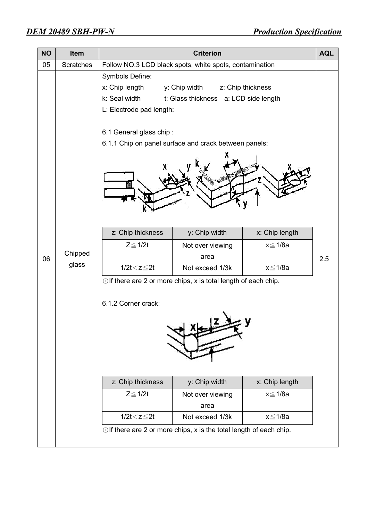| <b>NO</b> | Item             | <b>Criterion</b>                                                                                          |                                                                                                                                                                                                             |                                           |     |  |  |
|-----------|------------------|-----------------------------------------------------------------------------------------------------------|-------------------------------------------------------------------------------------------------------------------------------------------------------------------------------------------------------------|-------------------------------------------|-----|--|--|
| 05        | <b>Scratches</b> |                                                                                                           | Follow NO.3 LCD black spots, white spots, contamination                                                                                                                                                     |                                           |     |  |  |
|           |                  | Symbols Define:<br>x: Chip length<br>k: Seal width<br>L: Electrode pad length:<br>6.1 General glass chip: | y: Chip width<br>t: Glass thickness a: LCD side length<br>6.1.1 Chip on panel surface and crack between panels:                                                                                             | z: Chip thickness                         |     |  |  |
| 06        | Chipped<br>glass | z: Chip thickness<br>$Z \leq 1/2t$                                                                        | y: Chip width<br>Not over viewing<br>area                                                                                                                                                                   | x: Chip length<br>x≦1/8a                  | 2.5 |  |  |
|           |                  | $1/2t < z \leq 2t$                                                                                        | Not exceed 1/3k                                                                                                                                                                                             | x≦1/8a                                    |     |  |  |
|           |                  | 6.1.2 Corner crack:<br>z: Chip thickness<br>$Z \leq 1/2t$<br>$1/2t < z \leq 2t$                           | $\odot$ If there are 2 or more chips, x is total length of each chip.<br>y: Chip width<br>Not over viewing<br>area<br>Not exceed 1/3k<br>Olf there are 2 or more chips, x is the total length of each chip. | x: Chip length<br>x≦1/8a<br>$x \leq 1/8a$ |     |  |  |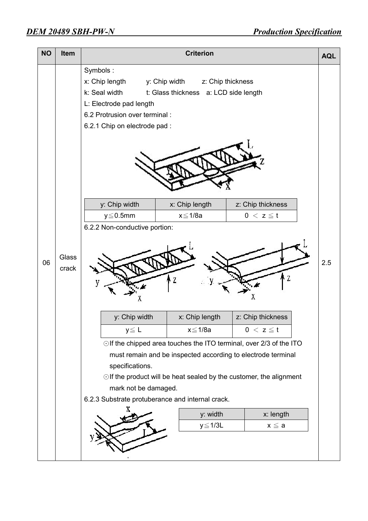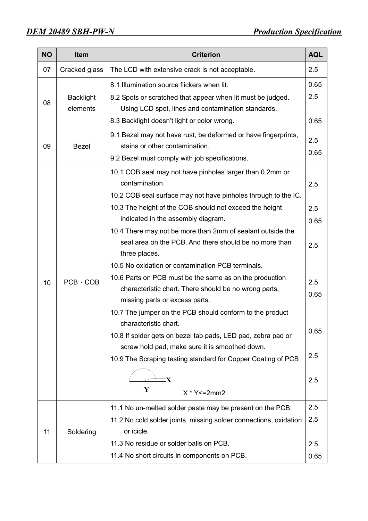| <b>NO</b> | <b>Item</b>                  | <b>Criterion</b><br><b>AQL</b>                                                                                                                                                                                                                                                                                                                                                         |                           |  |  |  |
|-----------|------------------------------|----------------------------------------------------------------------------------------------------------------------------------------------------------------------------------------------------------------------------------------------------------------------------------------------------------------------------------------------------------------------------------------|---------------------------|--|--|--|
| 07        | Cracked glass                | The LCD with extensive crack is not acceptable.                                                                                                                                                                                                                                                                                                                                        | 2.5                       |  |  |  |
| 08        | <b>Backlight</b><br>elements | 8.1 Illumination source flickers when lit.<br>8.2 Spots or scratched that appear when lit must be judged.<br>Using LCD spot, lines and contamination standards.                                                                                                                                                                                                                        | 0.65<br>2.5               |  |  |  |
|           |                              | 8.3 Backlight doesn't light or color wrong.                                                                                                                                                                                                                                                                                                                                            | 0.65                      |  |  |  |
| 09        | <b>Bezel</b>                 | 9.1 Bezel may not have rust, be deformed or have fingerprints,<br>stains or other contamination.<br>9.2 Bezel must comply with job specifications.                                                                                                                                                                                                                                     | 2.5<br>0.65               |  |  |  |
|           |                              | 10.1 COB seal may not have pinholes larger than 0.2mm or<br>contamination.<br>10.2 COB seal surface may not have pinholes through to the IC.<br>10.3 The height of the COB should not exceed the height<br>indicated in the assembly diagram.<br>10.4 There may not be more than 2mm of sealant outside the<br>seal area on the PCB. And there should be no more than<br>three places. | 2.5<br>2.5<br>0.65<br>2.5 |  |  |  |
| 10        | $PCB \cdot COB$              | 10.5 No oxidation or contamination PCB terminals.<br>10.6 Parts on PCB must be the same as on the production<br>characteristic chart. There should be no wrong parts,<br>missing parts or excess parts.<br>10.7 The jumper on the PCB should conform to the product<br>characteristic chart.                                                                                           | 2.5<br>0.65<br>0.65       |  |  |  |
|           |                              | 10.8 If solder gets on bezel tab pads, LED pad, zebra pad or<br>screw hold pad, make sure it is smoothed down.<br>10.9 The Scraping testing standard for Copper Coating of PCB<br>$X * Y \le 2mm2$                                                                                                                                                                                     | 2.5<br>2.5                |  |  |  |
| 11        | Soldering                    | 11.1 No un-melted solder paste may be present on the PCB.<br>11.2 No cold solder joints, missing solder connections, oxidation<br>or icicle.<br>11.3 No residue or solder balls on PCB.<br>11.4 No short circuits in components on PCB.                                                                                                                                                | 2.5<br>2.5<br>2.5<br>0.65 |  |  |  |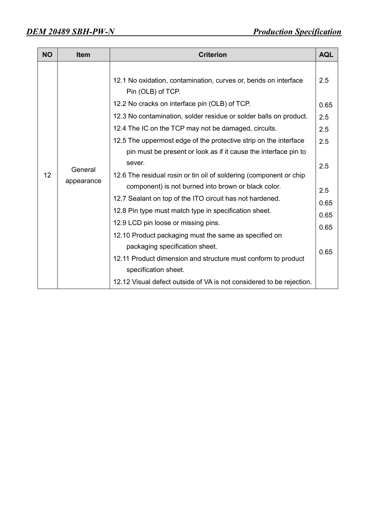| <b>NO</b> | <b>Item</b>           | <b>Criterion</b>                                                                                                                                                                                                                                                                                                                                                                                                                                                                                                                                                                                                                                                                                                                                                                                                                                                         | <b>AQL</b>                                                                     |
|-----------|-----------------------|--------------------------------------------------------------------------------------------------------------------------------------------------------------------------------------------------------------------------------------------------------------------------------------------------------------------------------------------------------------------------------------------------------------------------------------------------------------------------------------------------------------------------------------------------------------------------------------------------------------------------------------------------------------------------------------------------------------------------------------------------------------------------------------------------------------------------------------------------------------------------|--------------------------------------------------------------------------------|
| 12        | General<br>appearance | 12.1 No oxidation, contamination, curves or, bends on interface<br>Pin (OLB) of TCP.<br>12.2 No cracks on interface pin (OLB) of TCP.<br>12.3 No contamination, solder residue or solder balls on product.<br>12.4 The IC on the TCP may not be damaged, circuits.<br>12.5 The uppermost edge of the protective strip on the interface<br>pin must be present or look as if it cause the interface pin to<br>sever.<br>12.6 The residual rosin or tin oil of soldering (component or chip<br>component) is not burned into brown or black color.<br>12.7 Sealant on top of the ITO circuit has not hardened.<br>12.8 Pin type must match type in specification sheet.<br>12.9 LCD pin loose or missing pins.<br>12.10 Product packaging must the same as specified on<br>packaging specification sheet.<br>12.11 Product dimension and structure must conform to product | 2.5<br>0.65<br>2.5<br>2.5<br>2.5<br>2.5<br>2.5<br>0.65<br>0.65<br>0.65<br>0.65 |
|           |                       | specification sheet.<br>12.12 Visual defect outside of VA is not considered to be rejection.                                                                                                                                                                                                                                                                                                                                                                                                                                                                                                                                                                                                                                                                                                                                                                             |                                                                                |